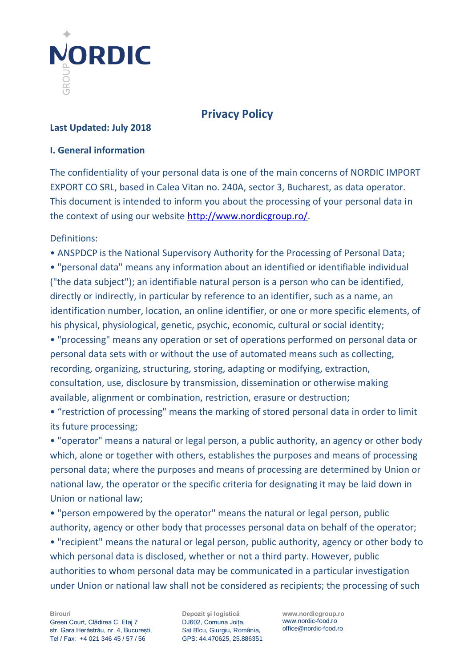

# **Privacy Policy**

#### **Last Updated: July 2018**

#### **I. General information**

The confidentiality of your personal data is one of the main concerns of NORDIC IMPORT EXPORT CO SRL, based in Calea Vitan no. 240A, sector 3, Bucharest, as data operator. This document is intended to inform you about the processing of your personal data in the context of using our website [http://www.nordicgroup.ro/.](http://www.nordicgroup.ro/)

Definitions:

• ANSPDCP is the National Supervisory Authority for the Processing of Personal Data;

• "personal data" means any information about an identified or identifiable individual ("the data subject"); an identifiable natural person is a person who can be identified, directly or indirectly, in particular by reference to an identifier, such as a name, an identification number, location, an online identifier, or one or more specific elements, of his physical, physiological, genetic, psychic, economic, cultural or social identity;

• "processing" means any operation or set of operations performed on personal data or personal data sets with or without the use of automated means such as collecting, recording, organizing, structuring, storing, adapting or modifying, extraction, consultation, use, disclosure by transmission, dissemination or otherwise making available, alignment or combination, restriction, erasure or destruction;

• "restriction of processing" means the marking of stored personal data in order to limit its future processing;

• "operator" means a natural or legal person, a public authority, an agency or other body which, alone or together with others, establishes the purposes and means of processing personal data; where the purposes and means of processing are determined by Union or national law, the operator or the specific criteria for designating it may be laid down in Union or national law;

• "person empowered by the operator" means the natural or legal person, public authority, agency or other body that processes personal data on behalf of the operator;

• "recipient" means the natural or legal person, public authority, agency or other body to which personal data is disclosed, whether or not a third party. However, public authorities to whom personal data may be communicated in a particular investigation under Union or national law shall not be considered as recipients; the processing of such

**Depozit și logistică** DJ602, Comuna Joița, Sat Bîcu, Giurgiu, România, GPS: 44.470625, 25.886351 **www.nordicgroup.ro** www.nordic-food.ro office@nordic-food.ro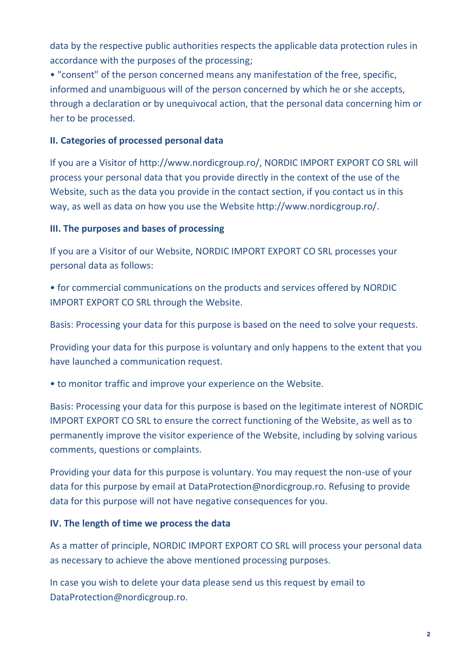data by the respective public authorities respects the applicable data protection rules in accordance with the purposes of the processing;

• "consent" of the person concerned means any manifestation of the free, specific, informed and unambiguous will of the person concerned by which he or she accepts, through a declaration or by unequivocal action, that the personal data concerning him or her to be processed.

# **II. Categories of processed personal data**

If you are a Visitor of http://www.nordicgroup.ro/, NORDIC IMPORT EXPORT CO SRL will process your personal data that you provide directly in the context of the use of the Website, such as the data you provide in the contact section, if you contact us in this way, as well as data on how you use the Website http://www.nordicgroup.ro/.

# **III. The purposes and bases of processing**

If you are a Visitor of our Website, NORDIC IMPORT EXPORT CO SRL processes your personal data as follows:

• for commercial communications on the products and services offered by NORDIC IMPORT EXPORT CO SRL through the Website.

Basis: Processing your data for this purpose is based on the need to solve your requests.

Providing your data for this purpose is voluntary and only happens to the extent that you have launched a communication request.

• to monitor traffic and improve your experience on the Website.

Basis: Processing your data for this purpose is based on the legitimate interest of NORDIC IMPORT EXPORT CO SRL to ensure the correct functioning of the Website, as well as to permanently improve the visitor experience of the Website, including by solving various comments, questions or complaints.

Providing your data for this purpose is voluntary. You may request the non-use of your data for this purpose by email at DataProtection@nordicgroup.ro. Refusing to provide data for this purpose will not have negative consequences for you.

#### **IV. The length of time we process the data**

As a matter of principle, NORDIC IMPORT EXPORT CO SRL will process your personal data as necessary to achieve the above mentioned processing purposes.

In case you wish to delete your data please send us this request by email to DataProtection@nordicgroup.ro.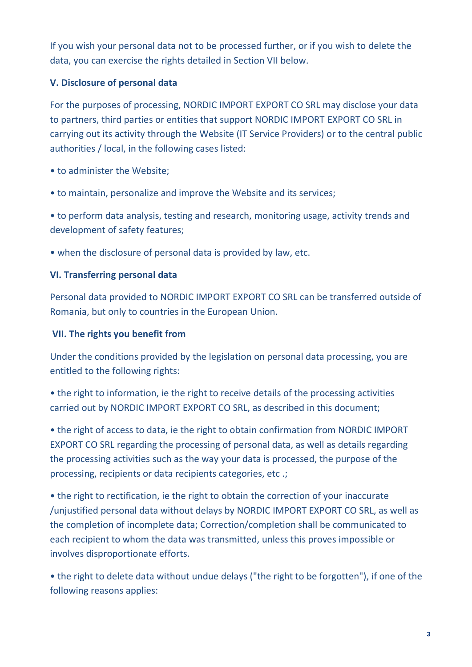If you wish your personal data not to be processed further, or if you wish to delete the data, you can exercise the rights detailed in Section VII below.

# **V. Disclosure of personal data**

For the purposes of processing, NORDIC IMPORT EXPORT CO SRL may disclose your data to partners, third parties or entities that support NORDIC IMPORT EXPORT CO SRL in carrying out its activity through the Website (IT Service Providers) or to the central public authorities / local, in the following cases listed:

- to administer the Website;
- to maintain, personalize and improve the Website and its services;

• to perform data analysis, testing and research, monitoring usage, activity trends and development of safety features;

• when the disclosure of personal data is provided by law, etc.

# **VI. Transferring personal data**

Personal data provided to NORDIC IMPORT EXPORT CO SRL can be transferred outside of Romania, but only to countries in the European Union.

#### **VII. The rights you benefit from**

Under the conditions provided by the legislation on personal data processing, you are entitled to the following rights:

• the right to information, ie the right to receive details of the processing activities carried out by NORDIC IMPORT EXPORT CO SRL, as described in this document;

• the right of access to data, ie the right to obtain confirmation from NORDIC IMPORT EXPORT CO SRL regarding the processing of personal data, as well as details regarding the processing activities such as the way your data is processed, the purpose of the processing, recipients or data recipients categories, etc .;

• the right to rectification, ie the right to obtain the correction of your inaccurate /unjustified personal data without delays by NORDIC IMPORT EXPORT CO SRL, as well as the completion of incomplete data; Correction/completion shall be communicated to each recipient to whom the data was transmitted, unless this proves impossible or involves disproportionate efforts.

• the right to delete data without undue delays ("the right to be forgotten"), if one of the following reasons applies: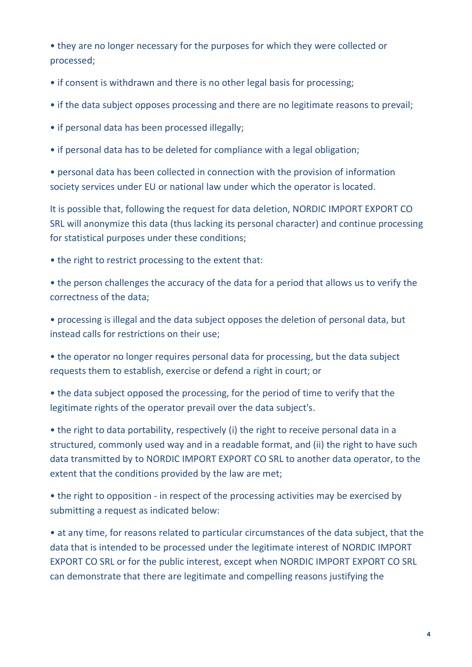• they are no longer necessary for the purposes for which they were collected or processed;

- if consent is withdrawn and there is no other legal basis for processing;
- if the data subject opposes processing and there are no legitimate reasons to prevail;
- if personal data has been processed illegally;
- if personal data has to be deleted for compliance with a legal obligation;

• personal data has been collected in connection with the provision of information society services under EU or national law under which the operator is located.

It is possible that, following the request for data deletion, NORDIC IMPORT EXPORT CO SRL will anonymize this data (thus lacking its personal character) and continue processing for statistical purposes under these conditions;

• the right to restrict processing to the extent that:

• the person challenges the accuracy of the data for a period that allows us to verify the correctness of the data;

• processing is illegal and the data subject opposes the deletion of personal data, but instead calls for restrictions on their use;

• the operator no longer requires personal data for processing, but the data subject requests them to establish, exercise or defend a right in court; or

• the data subject opposed the processing, for the period of time to verify that the legitimate rights of the operator prevail over the data subject's.

• the right to data portability, respectively (i) the right to receive personal data in a structured, commonly used way and in a readable format, and (ii) the right to have such data transmitted by to NORDIC IMPORT EXPORT CO SRL to another data operator, to the extent that the conditions provided by the law are met;

• the right to opposition - in respect of the processing activities may be exercised by submitting a request as indicated below:

• at any time, for reasons related to particular circumstances of the data subject, that the data that is intended to be processed under the legitimate interest of NORDIC IMPORT EXPORT CO SRL or for the public interest, except when NORDIC IMPORT EXPORT CO SRL can demonstrate that there are legitimate and compelling reasons justifying the